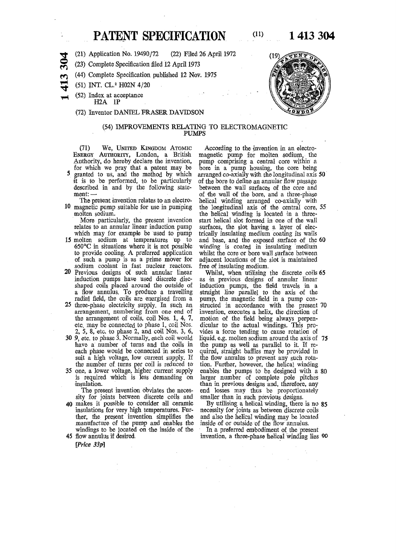# **PATENT SPECIFICATION** (11) 1 413 304

**(21) Application No. 19490/72 (22) Filed 26 April 1972** 

**(23) Complete Specification filed 12 April 1973** 

- **(44) Complete Specification published 12 Nov. 1975**
- **(51) INT. CL.<sup>2</sup> H02N 4/2 0**

**3** 

**m** 

**(52) Index at acceptance ffiA IP** 

#### **(72) Inventor DANIEL ERASER DAVIDSON**

#### **(54) IMPROVEMENTS RELATING TO ELECTROMAGNETIC PUMPS**

(71) **We ,** UNITED KINGDOM ATOMIC ENERGY AUTHORITY**, London, a British Authority, do hereby declare the invention, for which we pray that a patent may be 5 granted to us, and the method by which it is to be performed, to be particularly described in and by the following statement: —** 

**The present invention relates to an electro-10 magnetic pump suitable for use in pumping molten sodium.** 

**More particularly, the present invention relates to an annular linear induction pump whidh may for example be used to pump** 

- **15 molten sodium at temperatures up to 650°C in situations where it is. not possible to provide cooling. A preferred application of. such a pump is as a prime mover for sodium coolant in fast nuclear reactors.**
- **20 Previous designs of such annular linear induction pumps have used discrete discshaped coils placed around the outside of a flow annulus. To produce a travelling**  radial field, the coils are energised from a
- **25 three-phase electricity supply. In such an arrangement, numbering from one end of the arrangement of coils, coil Nos. 1, 4, 7, etc. may be connected to phase 1, coil Nos. 2, 5, 8, etc. to phase 2, and coil Nos. 3, 6,**
- **30 9, etc. to phase 3. Normally, each coil would have a number of turns and the coils in each phase would be connected in series to suit a high voltage, low current supply. H the number of turns per coil is reduced to-**
- **35 one, a lower voltage, higher current supply**  is required which is less demanding on **insulation.**

**The present invention obviates the necessity for joints between discrete coils and 40 makes it possible to consider all ceramic insulations for very high temperatures. Further, the present invention simplifies the manufacture of the pump and enables the** 

**windings to be located on the inside of the 45 flow annulus if desired.** 

*[Price 33p]* 

**According to the invention in an electromagnetic pump for molten sodium, the pump comprising a central core within a bore in a pump housing, the core being arranged co-axiafly with the longitudinal axis 50 of the bore to define an annular flow passage between the wall surfaces of the core and of the wall of the bore, and a three-phase helical winding arranged co-axially with the longitudinal axis of the central core, 55 the helical winding is located in a threestart helical slot formed in one of the wall surfaces, the slot having a layer of electrically insulating medium coating its wails and base, and the exposed surface of the 60 winding is coated in insulating medium whilst the core or bore wall surface between adjacent locations of the slot is maintained free of insulating medium.** 

**Whilst, when utilising the discrete coils 65 as 'in previous designs of annular linear induction pumps, the field travels in a straight line parallel to the axis of the pump, the magnetic field in a pump constructed in accordance with the present 70 invention, executes a helix, the direction of motion of the field being always perpendicular to the actual windings. This provides a force tending to cause rotation of liquid, e.g. molten sodium around the axis of 75 the pump as well as parallel to it. If require!, straight baffles may be provided in the flow annulus to prevent any such rotation. Further, however, the helical winding enables the pumps to be designed with a 80 larger number of complete pole pitches than in previous designs and, therefore, any end losses may thus be proportionately smaller than in such previous designs.** 

**By utilising a helical winding, there is no 85 necessity for joints as between discrete coils and also the helical winding may be located inside of or outside of the flow annulus.** 

**In a preferred embodiment of the present invention, a three-phase helical winding lies** 90

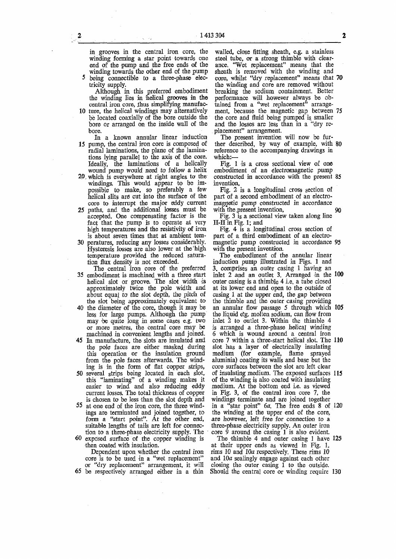**in grooves in the central iron core, the winding forming a star point towards one end of the pump and the free ends of the winding towards the other end of the pump** 

**5 being connectible to a three-phase electricity supply.** 

**Although in this preferred embodiment the winding lies in helical grooves in the**  central iron core, thus simplifying manufac-

- **10 ture, the helical windings may alternatively be located coaxially of the bore outside the bore or arranged on the inside wall of the bore.**
- **In a known annular linear induction 15 pump, the central iron core is composed of radial laminations, the plane of the laminations lying parallel to the axis of the core. Ideally, the laminations of a helically wound pump would need to follow a helix**
- **20. which is everywhere at right angles to the windings. This would appear to be impossible to make, so preferably a few helical slits are cut into the surface of the core to interrupt the major eddy current**
- **25 paths, and the additional losses must be accepted. One compensating factor is the fact that the pump is to operate at very high temperatures and the resistivity of iron is about seven times that at ambient tem-**
- **30 peratures, reducing any losses considerably. Hysteresis losses are also lower at the: high temperature provided the reduced saturation flux density is not exceeded.**
- **The central iron core of the preferred 35 embodiment is machined with a three start helical slot or groove. The slot width is approximately twice the pole width and about equal to the slot depth, the pitdh of the slot being approximately equivalent to**
- **40 the diameter of the core, though it may be less for large pumps. Although the pump may 'be quite long in some cases e.g. two or more metres, the central core may be machined in convenient lengths and joined.**
- **45 In manufacture, the slots are insulated and the pole faces are either masked during this operation or the insulation ground from the pole faces afterwards. The winding is in the form of flat copper strips,**
- **50 several strips being located in each slot, this "laminating" of a winding makes it easier to wind and also reducing eddy current losses. The total thickness of copper is chosen to be less than the slot depth and**
- **55 at one end of the iron core, the three windings are terminated and joined together, to form a "start point". At the other end, suitable lengths of tails are left for connection to a three-phase electricity supply. The**
- **60 exposed surface of the copper winding is •then coated with insulation.**

**Dependent upon whether the central iron core is to be used in a "wet replacement" or "dry replacement" arrangement, it will 65 be respectively arranged either in a thin** 

**walled, close fitting sheath, e.g. a stainless steel tube, or a strong thimble with clearance. "Wet replacement" means that the sheath is removed with the winding and core, whilst "dry replacement" means that 70 the winding and core are removed without breaking the sodium containment. Better performance will however always be obtained from a "wet replacement" arrangement, because the magnetic gap between 75 the core and fluid being pumped is. smaller and the losses are less than in a "dry replacement" arrangement.** 

**The present invention will now be further described, by way of example, with 80 reference to the accompanying drawings in which:—** 

**Fig. 1 is a cross sectional view of one embodiment of an electromagnetic pump constructed in accordance with the present 85 invention,** 

**Fig. 2 is a longitudinal cross section of part of a second embodiment of an electromagnetic pump constructed in accordance**  with the present invention, 90

**Fig. 3 is a sectional view taken along line II-H in Fig. 1; and** 

**Fig. 4 is a longitudinal cross section of part of a third embodiment of an electromagnetic pump constructed in accordance 95 with the present invention.** 

**The embodiment of the annular linear induction pump illustrated in Figs. 1 and 3. comprises an outer casing 1 having an inlet 2 and an outlet 3. Arranged in the 100 outer casing is a thimble 4 i.e. a tube closed at its lower end and open to the outside of casing 1 at the upper end, the gap between the thimble and the outer casing providing an annular flow passage 5 through which 105 the liquid e!g. molten sodium, can flow from inlet 2 to outlet 3. Within the thimble 4 is arranged a three-phase helical winding 6 which is wound around a central iron core 7 within a three-start helical slot. The 110 slot has a layer of electrically insulating medium (for example, flame sprayed aluminia) coating its walls and base but the core surfaces between the slot are left clear of insulating medium. The exposed surfaces 115 of the winding is also coated with insulating medium. At the bottom end i.e. as viewed in Fig. 3, of the central iron core 7, the windings terminate and are joined together in a "star point" 6a. The free ends 8 of 120 the winding at the upper end of the core, are however, left free for connection to a three-phase electricity supply. An outer iron core 9 around the casing 1 is also evident.** 

**The thimble 4 and outer casing 1 have 125 at their upper ends as viewed in Fig. 1, rims 10 and 10a respectively. These rims 10 and 10a sealingly engage against each other closing the outer casing 1 to the outside. Should the central core or winding require 130**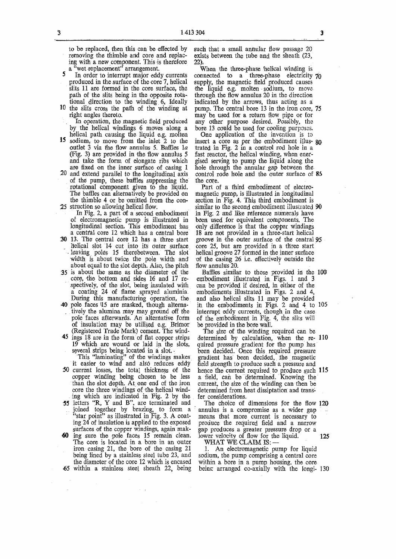to be replaced, then this can be effected by such that a small annular flow passage 20 removing the thimble and core and replac-exists between the tube and the sheath (23, ing with a new component. This is therefore a "wet replacement" arrangement.

produced in the surface of the core 7, helical supply, the magnetic field produced causes slits 11 are formed in the core surface, the the liquid e.g. molten sodium, to move slits 11 are formed in the core surface, the the liquid e.g. molten sodium, to move path of the slits being in the opposite rota-<br>through the flow annulus 20 in the direction path of the slits being in the opposite rota- through the flow annulus 20 in the direction tional direction to the winding  $6<sub>x</sub>$  Ideally indicated by the arrows, thus acting as a

- helical path causing the liquid e.g. molten **15** sodium, to move from the inlet 2 to the **15 sodium, to move from the inlet 2 to the insert a core as per the embodiment illus- go outlet 3 via the flow annulus 5. Baffles** *la* **trated in Fig. 2 in a control rod hole in a (Fig. 3) are provided in the flow annulus 5 fast reactor, the helical winding, when ener**and take the form of elongate ribs which gised serving to pump the liquid along the are fixed on the inner surface of casing 1 hole through the annular gap between the
- 20 and extend parallel to the longitudinal axis **of the pump, these baffles suppressing the the core. rotational component given to the liquid.** Part of a third embodiment of electro-<br>The baffles can alternatively be provided on magnetic pump, is illustrated in longitudinal the thimble 4 or be omitted from the con-<br>**25** struction so allowing helical flow.

**of electromagnetic pump is illustrated in been used for equivalent components. The**  longitudinal section. This embodiment has a central core 12 which has a central bore

- **30 13. The central core 12 has a three start helical slot 14 cut into its outer surface** leaving poles 15 therebetween. The slot width is about twice the pole width and **about equal to the slot depth. Also, the pitch flow annulus 20.**
- **core, the bottom and sides 16 and 17 re- embodiment illustrated in Figs. 1 and 3**  spectively, of the slot, being insulated with can be provided if desired, in either of the a coating 24 of flame sprayed aluminia. embodiments illustrated in Figs. 2 and 4, **During this manufacturing operation, the and also helical slits 11 may be provided**
- tively the alumina may may ground off the interrupt eddy currents, though in the case pole faces afterwards. An alternative form of the embodiment in Fig. 4, the slits will of insulation may be utilised e.g. Brimor be provided in the bore wall. of insulation may be utilised e.g. Brimor (Registered Trade Mark) cement. The wind-
- 

it easier to wind and also reduces eddy field strength to produce such a pressure and **50** current losses, the total thickness of the hence the current required to produce such

- 
- **60 ing sure the pole faces 15 remain clean, lower velocity of flow for the liquid. 125**  The core is located in a bore in an outer WHAT WE CLAIM IS: — <br>iron casing 21, the bore of the casing 21 1. An electromagnetic pump for liquid iron casing 21, the bore of the casing 21 being lined by a stainless steel tube 23, and **the diameter of the core 12 which is encased within a bore in a pump housing, the core**

**exists between the tube and the sheath (23, 22).** 

<sup>a</sup> wet replacement<sup>5</sup> arrangement. When the three-phase helical winding is In order to interrupt major eddy currents connected to a three-phase electricity 5 In order to interrupt major eddy currents connected to a three-phase electricity 70 produced in the surface of the core 7, helical supply, the magnetic field produced causes tional direction to the winding  $6<sub>x</sub>$  Ideally indicated by the arrows, thus acting as a 10 the slits cross the path of the winding at pump. The central bore 13 in the iron core, the slits cross the path of the winding at pump. The central bore 13 in the iron core, 75 right angles thereto. **may** be used for a return flow pipe or for ght angles thereto. **may** be used for a return flow pipe or for **In** operation, the magnetic field produced any other purpose desired. Possibly, the In operation, the magnetic field produced any other purpose desired. Possibly, the by the helical windings 6 moves along a bore 13 could be used for cooling purposes. **bore 13 could be used for cooling purposes.**<br>One application of the invention is to

hole through the annular gap between the control rode hole and the outer surface of 85

magnetic pump, is illustrated in longitudinal section in Fig. 4. This third embodiment is **25 stratter illustrated 90 25 stratter in Fig. 2** and like reference numerals have **15 stratter in Fig. 2** and like reference numerals have in Fig. 2 and like reference numerals have been used for equivalent components. The 18 are not provided in a three-start helical groove in the outer surface of the central 95 core 25, but are provided in a three start helical groove 27 formed in the inner surface of the casing 26 i.e. effectively outside the flow annulus 20.

35 **is about the same as the diameter of the Baffles similar to those provided in the 100**  a coating 24 of flame sprayed aluminia. embodiments illustrated in Figs. 2 and 4, During this manufacturing operation, the and also helical slits 11 may be provided 40 pole faces 15 are masked, though alterna- in the embod **40 pole faces U5 are masked, though alterna- in the embodiments in Figs. 2 and 4 to 105** 

**(Registered Trade Mark) cement. The wind- The size of the winding required can be**  ings 18 are in the form of flat copper strips determined by calculation, when the re- 110 19 which are wound or laid in the slots, quired pressure gradient for the pump has 19 which are wound or laid in the slots, quired pressure gradient for the pump has several strips being located in a slot.<br> **19** which it is "laminating" of the windings makes gradient has been decided, the magnetic it eas **several strips being located in a slot, - been decided. Once this required pressure This "laminating" of the windings makes gradient has been decided, the magnetic 50 current losses, the total thickness of the hence the current required to produce such 115 copper winding being chosen to be less a field, can be determined. Knowing the than the slot depth. At one end of the iron current, the size of the winding can then be** core the three windings of the helical wind-<br>core the three windings of the helical wind-<br>determined from heat dissiptation and tra determined from heat dissiptation and trans-<br>fer considerations.

**ing which are indicated in Fig. 2 by the fer considerations. •55 letters "R, Y and B", are terminated and The choice of dimensions for the flow 120 joined together by brazing, to form a annulus is a compromise as a. wider gap "star point" as illustrated in Fig. 3. A coat- means that more current is necessary to ing 24 of insulation is applied to the exposed produce the required field and a narrow surfaces of the copper windings, again mak- gap produces a greater pressure drop or a** 

being lined by a stainless steel tube 23, and sodium, the pump comprising a central core the diameter of the core 12 which is encased within a bore in a pump housing, the core being arranged co-axially with the longi- 130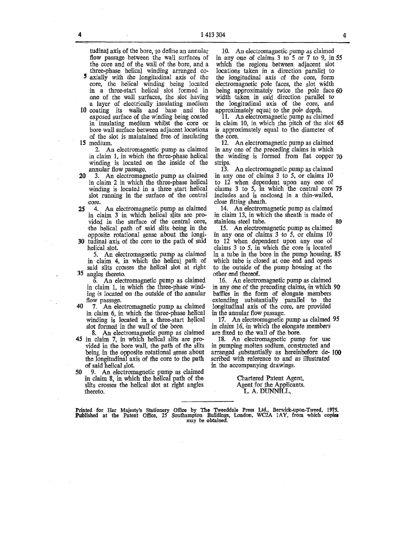**tudinal axis of the bore, to define an annular flow passage between the wall surfaces of the core and of the wall of the bore, and a** 

- **three-phase helical winding arranged co-5 axially with the longitudinal axis of the core, the helical winding being located in a three-start helical slot formed in one of the wall surfaces, the slot having a layer of electrically insulating medium**
- **10 coating its walls and base and the exposed surface of the winding being coated in insulating medium whilst the core or bore wall surface between adjacent locations of the slot is maintained free of insulating 15 medium.**

**2. An electromagnetic pump as claimed in claim 1, in which the three-phase helical winding is located on the inside of the annular flow passage.** 

- 20 **3. An electromagnetic pump as claimed in claim 2 in which the three-phase helical winding is located in a three start helical slot running in the surface of the central core.**
- 25 **4. An electromagnetic pump as claimed in claim 3 in which helical slits are provided in the surface of the central core, the helical path of said slits 'being in the opposite rotational sense about the longi-**
- 30 **tudinal axis of the core to the path of said helical slot.**

**5. An electromagnetic pump as claimed in claim 4, in which the helical path of said slits crosses the helical slot at right 35 angles thereto.** 

**6. An electromagnetic pump as claimed in claim 1, in which the three-phase winding is located on the outside of the annular flow passage.** 

- **40 7. An electromagnetic pump as claimed in claim 6, in which the three-phase helical winding is located in a three-start helical slot formed in the wall of the bore.**
- **8. An electromagnetic pump as claimed 45 in claim 7, in which helical slits are provided in the bore wall, the path of the slits being in the opposite rotational sense about the longitudinal axis of the core to the path of said helical slot.**
- **50 9. An electromagnetic pump as claimed in claim 8, in which the helical path of the slits crosses the helical slot at right angles thereto.**

**10. An electromagnetic pump as claimed in any one of claims 3 to 5 or 7 to 9, in 55 which the regions between adjacent slot locations taken in a direction parallel to the longitudinal axis of the core, form electromagnetic pole faces, the slot width being approximately twice the pole face 60 width taken in said direction parallel to the longitudinal axis of the core, and approximately equal to the pole depth.** 

**11. An electromagnetic pump as claimed**  in claim 10, in which the pitch of the slot 65 **is approximately equal to the diameter of the core.** 

**12. An electromagnetic pump as claimed in any one of the preceding claims in which the winding is formed from flat copper 70 strips.** 

**13. An electromagnetic pump as claimed in any one of claims 3 to 5, or claims 10 to 12 when dependent upon any one of claims 3 to 5, in which the central core 75 includes and is enclosed in a thin-walled, close fitting sheath.** 

**14. An electromagnetic pump as claimed in claim 13, in which the sheath is made of stainless steel tube. 80** 

**15. An electromagnetic pump as claimed in any one of claims 3 to 5, or claims 10 to 12 when dependent upon any one of claims 3 to 5, in which the core is located in a tube in the bore in the pump housing, 85 which tube is closed at one end and opens to the outside of the pump housing at the other end thereof.** 

**16. An electromagnetic pump as claimed in any one of the preceding claims, in which 90 baffles in the form of elongate members extending substantially parallel to the longitudinal axis of the core, are provided in the annular flow passage.** 

**17. An electromagnetic pump as claimed 95 in claim** *16,* **in which the elongate members are fixed to the wall of the bore.** 

**18. An electromagnetic pump for use in pumping molten sodium, constructed and arranged substantially as hereinbefore de- 100 scribed with reference to and as illustrated in the accompanying drawings.** 

> **Chartered Patent Agent, Agent for the Applicants. L. A. DUNNILL**

Printed for Her Majesty's Stationery Office by The Tweeddale Press Ltd., Berwick-upon-Tweed, 1975.<br>Published at the Patent Office, 25 Southampton Buildings, London, WC2A 1AY, from which copies<br>may be obtained.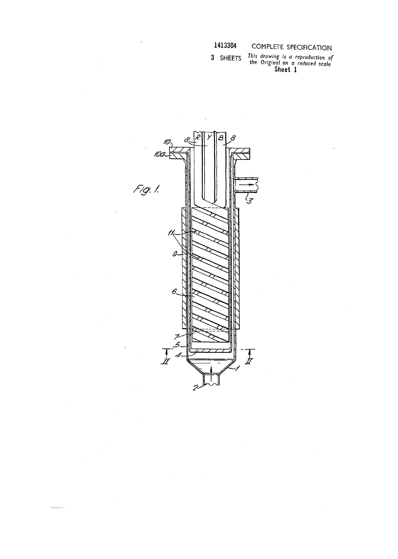1413304

COMPLETE SPECIFICATION

÷,

This drawing is a reproduction of<br>the Original on a reduced scale<br>Sheet 1 3 SHEETS



 $\hat{\mathcal{A}}$ 

 $\sim$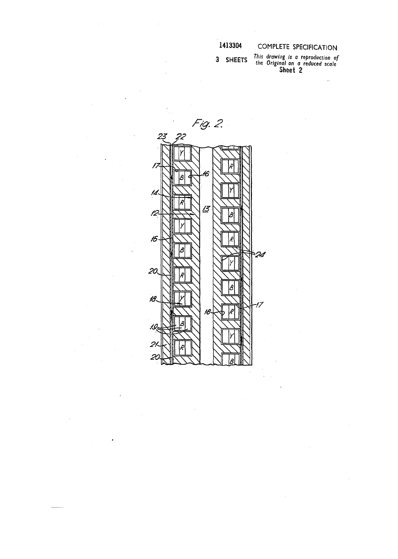### 1413304

## COMPLETE SPECIFICATION

3 SHEETS

This drawing is a reproduction of<br>the Original on a reduced scale<br>Sheet 2